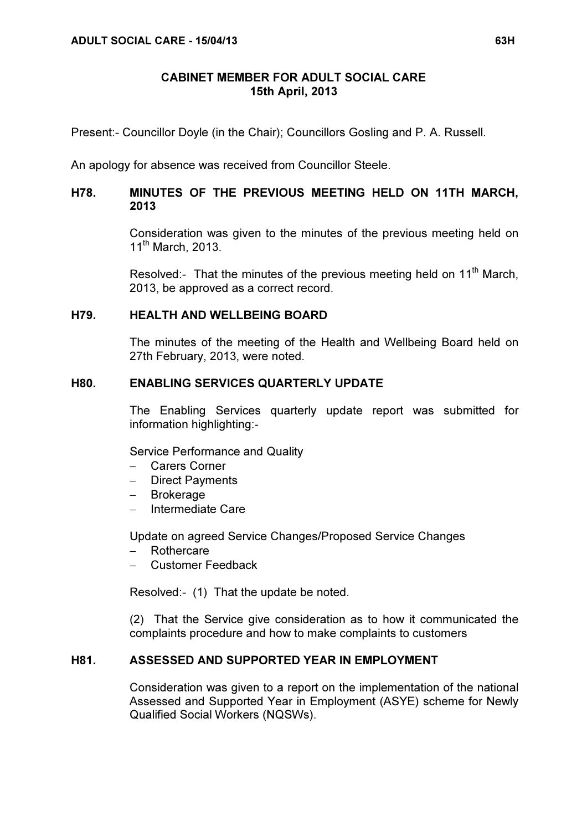#### CABINET MEMBER FOR ADULT SOCIAL CARE 15th April, 2013

Present:- Councillor Doyle (in the Chair); Councillors Gosling and P. A. Russell.

An apology for absence was received from Councillor Steele.

# H78. MINUTES OF THE PREVIOUS MEETING HELD ON 11TH MARCH, 2013

 Consideration was given to the minutes of the previous meeting held on  $11^{\text{th}}$  March, 2013.

Resolved:- That the minutes of the previous meeting held on 11<sup>th</sup> March. 2013, be approved as a correct record.

#### H79. HEALTH AND WELLBEING BOARD

 The minutes of the meeting of the Health and Wellbeing Board held on 27th February, 2013, were noted.

# H80. ENABLING SERVICES QUARTERLY UPDATE

 The Enabling Services quarterly update report was submitted for information highlighting:-

Service Performance and Quality

- − Carers Corner
- − Direct Payments
- − Brokerage
- − Intermediate Care

Update on agreed Service Changes/Proposed Service Changes

- − Rothercare
- − Customer Feedback

Resolved:- (1) That the update be noted.

(2) That the Service give consideration as to how it communicated the complaints procedure and how to make complaints to customers

#### H81. ASSESSED AND SUPPORTED YEAR IN EMPLOYMENT

 Consideration was given to a report on the implementation of the national Assessed and Supported Year in Employment (ASYE) scheme for Newly Qualified Social Workers (NQSWs).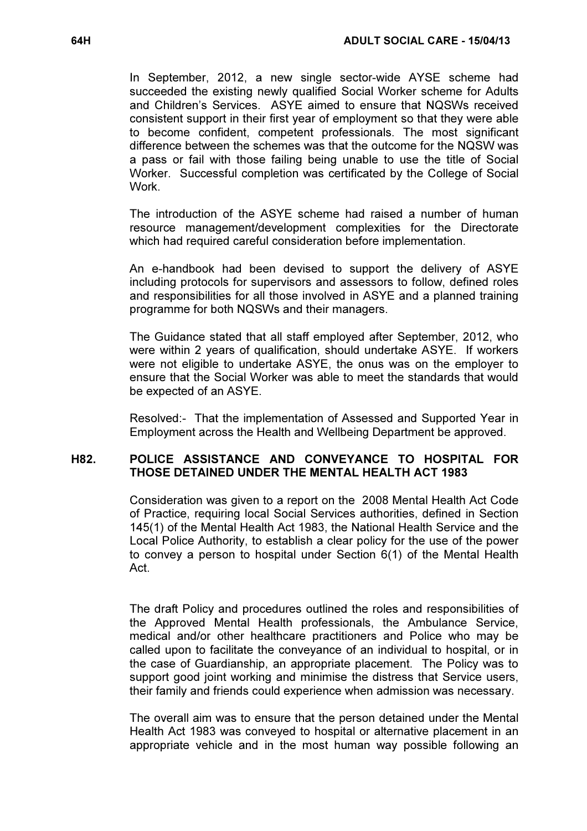In September, 2012, a new single sector-wide AYSE scheme had succeeded the existing newly qualified Social Worker scheme for Adults and Children's Services. ASYE aimed to ensure that NQSWs received consistent support in their first year of employment so that they were able to become confident, competent professionals. The most significant difference between the schemes was that the outcome for the NQSW was a pass or fail with those failing being unable to use the title of Social Worker. Successful completion was certificated by the College of Social **Work** 

The introduction of the ASYE scheme had raised a number of human resource management/development complexities for the Directorate which had required careful consideration before implementation.

An e-handbook had been devised to support the delivery of ASYE including protocols for supervisors and assessors to follow, defined roles and responsibilities for all those involved in ASYE and a planned training programme for both NQSWs and their managers.

The Guidance stated that all staff employed after September, 2012, who were within 2 years of qualification, should undertake ASYE. If workers were not eligible to undertake ASYE, the onus was on the employer to ensure that the Social Worker was able to meet the standards that would be expected of an ASYE.

Resolved:- That the implementation of Assessed and Supported Year in Employment across the Health and Wellbeing Department be approved.

# H82. POLICE ASSISTANCE AND CONVEYANCE TO HOSPITAL FOR THOSE DETAINED UNDER THE MENTAL HEALTH ACT 1983

 Consideration was given to a report on the 2008 Mental Health Act Code of Practice, requiring local Social Services authorities, defined in Section 145(1) of the Mental Health Act 1983, the National Health Service and the Local Police Authority, to establish a clear policy for the use of the power to convey a person to hospital under Section 6(1) of the Mental Health Act.

The draft Policy and procedures outlined the roles and responsibilities of the Approved Mental Health professionals, the Ambulance Service, medical and/or other healthcare practitioners and Police who may be called upon to facilitate the conveyance of an individual to hospital, or in the case of Guardianship, an appropriate placement. The Policy was to support good joint working and minimise the distress that Service users, their family and friends could experience when admission was necessary.

The overall aim was to ensure that the person detained under the Mental Health Act 1983 was conveyed to hospital or alternative placement in an appropriate vehicle and in the most human way possible following an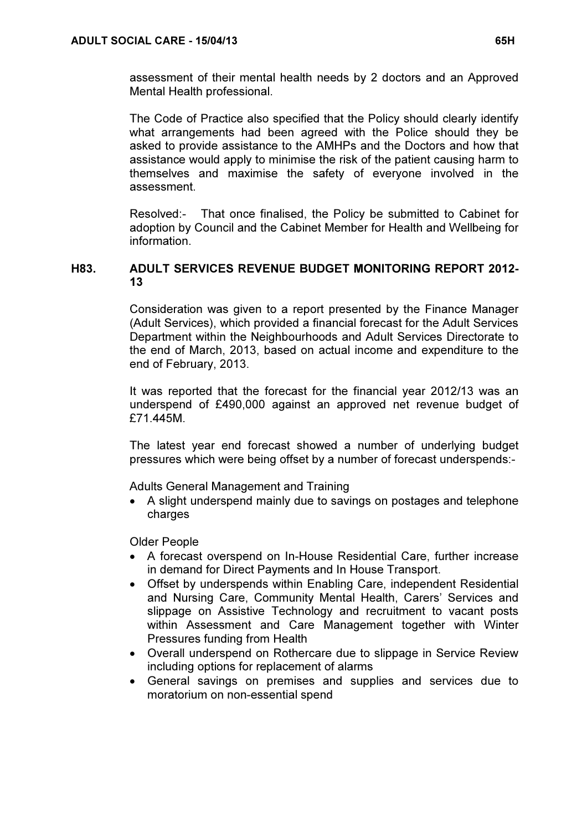assessment of their mental health needs by 2 doctors and an Approved Mental Health professional.

The Code of Practice also specified that the Policy should clearly identify what arrangements had been agreed with the Police should they be asked to provide assistance to the AMHPs and the Doctors and how that assistance would apply to minimise the risk of the patient causing harm to themselves and maximise the safety of everyone involved in the assessment.

Resolved:- That once finalised, the Policy be submitted to Cabinet for adoption by Council and the Cabinet Member for Health and Wellbeing for information.

# H83. ADULT SERVICES REVENUE BUDGET MONITORING REPORT 2012- 13

 Consideration was given to a report presented by the Finance Manager (Adult Services), which provided a financial forecast for the Adult Services Department within the Neighbourhoods and Adult Services Directorate to the end of March, 2013, based on actual income and expenditure to the end of February, 2013.

It was reported that the forecast for the financial year 2012/13 was an underspend of £490,000 against an approved net revenue budget of £71.445M.

The latest year end forecast showed a number of underlying budget pressures which were being offset by a number of forecast underspends:-

Adults General Management and Training

• A slight underspend mainly due to savings on postages and telephone charges

Older People

- A forecast overspend on In-House Residential Care, further increase in demand for Direct Payments and In House Transport.
- Offset by underspends within Enabling Care, independent Residential and Nursing Care, Community Mental Health, Carers' Services and slippage on Assistive Technology and recruitment to vacant posts within Assessment and Care Management together with Winter Pressures funding from Health
- Overall underspend on Rothercare due to slippage in Service Review including options for replacement of alarms
- General savings on premises and supplies and services due to moratorium on non-essential spend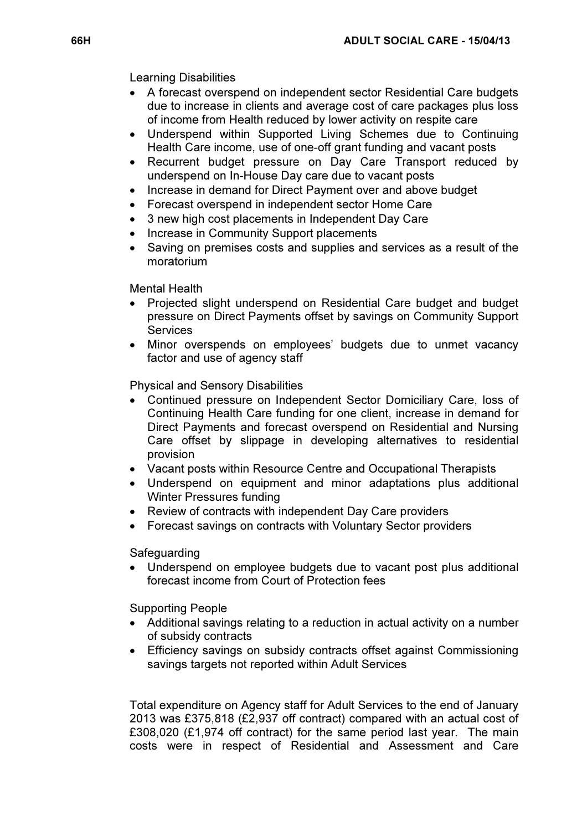Learning Disabilities

- A forecast overspend on independent sector Residential Care budgets due to increase in clients and average cost of care packages plus loss of income from Health reduced by lower activity on respite care
- Underspend within Supported Living Schemes due to Continuing Health Care income, use of one-off grant funding and vacant posts
- Recurrent budget pressure on Day Care Transport reduced by underspend on In-House Day care due to vacant posts
- Increase in demand for Direct Payment over and above budget
- Forecast overspend in independent sector Home Care
- 3 new high cost placements in Independent Day Care
- Increase in Community Support placements
- Saving on premises costs and supplies and services as a result of the moratorium

Mental Health

- Projected slight underspend on Residential Care budget and budget pressure on Direct Payments offset by savings on Community Support **Services**
- Minor overspends on employees' budgets due to unmet vacancy factor and use of agency staff

Physical and Sensory Disabilities

- Continued pressure on Independent Sector Domiciliary Care, loss of Continuing Health Care funding for one client, increase in demand for Direct Payments and forecast overspend on Residential and Nursing Care offset by slippage in developing alternatives to residential provision
- Vacant posts within Resource Centre and Occupational Therapists
- Underspend on equipment and minor adaptations plus additional Winter Pressures funding
- Review of contracts with independent Day Care providers
- Forecast savings on contracts with Voluntary Sector providers

Safeguarding

• Underspend on employee budgets due to vacant post plus additional forecast income from Court of Protection fees

Supporting People

- Additional savings relating to a reduction in actual activity on a number of subsidy contracts
- Efficiency savings on subsidy contracts offset against Commissioning savings targets not reported within Adult Services

Total expenditure on Agency staff for Adult Services to the end of January 2013 was £375,818 (£2,937 off contract) compared with an actual cost of £308,020 (£1,974 off contract) for the same period last year. The main costs were in respect of Residential and Assessment and Care